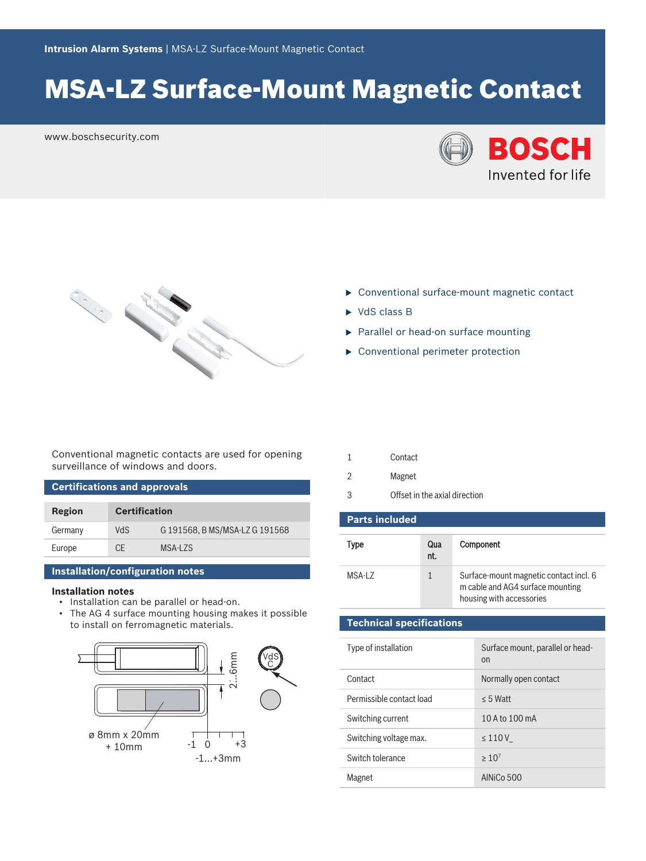# MSA-LZ Surface-Mount Magnetic Contact

www.boschsecurity.com





- $\triangleright$  Conventional surface-mount magnetic contact
- $\triangleright$  VdS class B
- $\blacktriangleright$  Parallel or head-on surface mounting
- $\triangleright$  Conventional perimeter protection

Conventional magnetic contacts are used for opening surveillance of windows and doors.

| <b>Certifications and approvals</b> |                      |                              |  |  |
|-------------------------------------|----------------------|------------------------------|--|--|
|                                     |                      |                              |  |  |
| Region                              | <b>Certification</b> |                              |  |  |
| Germany                             | VdS                  | G191568. B MS/MSA-LZ G191568 |  |  |
| Europe                              | CF.                  | MSA-L7S                      |  |  |

### **Installation/configuration notes**

#### **Installation notes**

- Installation can be parallel or head-on.
- The AG 4 surface mounting housing makes it possible to install on ferromagnetic materials.



- 2 Magnet
- 3 Offset in the axial direction

| <b>Parts included</b> |            |                                                                                                        |  |  |
|-----------------------|------------|--------------------------------------------------------------------------------------------------------|--|--|
| Type                  | Qua<br>nt. | <b>Component</b>                                                                                       |  |  |
| MSA-L7                |            | Surface-mount magnetic contact incl. 6<br>m cable and AG4 surface mounting<br>housing with accessories |  |  |

## **Technical specifications**

| Type of installation     | Surface mount, parallel or head-<br>on |
|--------------------------|----------------------------------------|
| Contact                  | Normally open contact                  |
| Permissible contact load | $< 5$ Watt                             |
| Switching current        | 10 A to 100 mA                         |
| Switching voltage max.   | $\leq 110V$                            |
| Switch tolerance         | $>10^{7}$                              |
| Magnet                   | AINiCo 500                             |